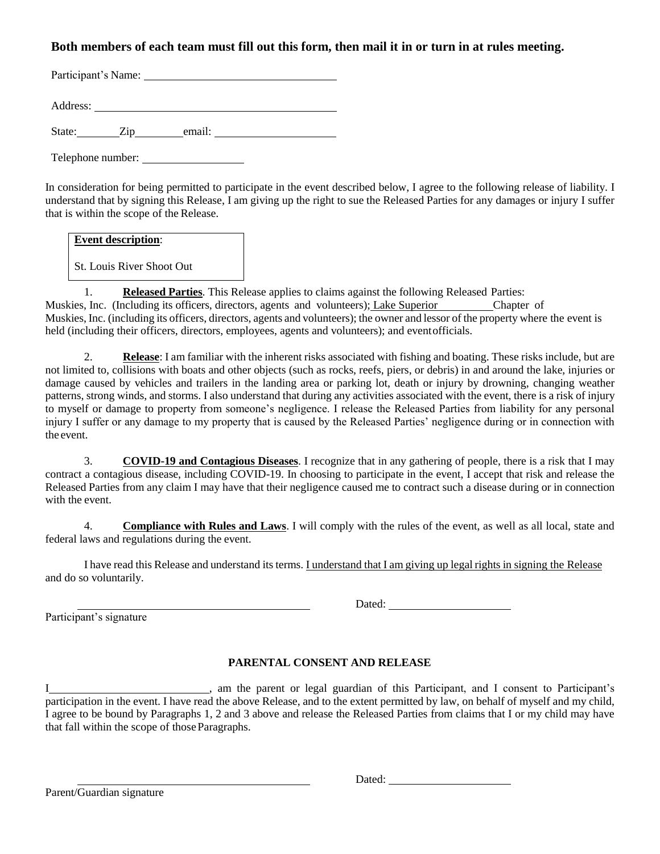## **Both members of each team must fill out this form, then mail it in or turn in at rules meeting.**

Participant's Name: University of the Contractor of the Contractor of the Contractor of the Contractor of the Contractor of the Contractor of the Contractor of the Contractor of the Contractor of the Contractor of the Cont

Address:

State: Zip email:

Telephone number:

In consideration for being permitted to participate in the event described below, I agree to the following release of liability. I understand that by signing this Release, I am giving up the right to sue the Released Parties for any damages or injury I suffer that is within the scope of the Release.

#### **Event description**:

St. Louis River Shoot Out

1. **Released Parties**. This Release applies to claims against the following Released Parties: Muskies, Inc. (Including its officers, directors, agents and volunteers); Lake Superior Chapter of Muskies, Inc. (including its officers, directors, agents and volunteers); the owner and lessor of the property where the event is held (including their officers, directors, employees, agents and volunteers); and eventofficials.

2. **Release**: I am familiar with the inherent risks associated with fishing and boating. These risks include, but are not limited to, collisions with boats and other objects (such as rocks, reefs, piers, or debris) in and around the lake, injuries or damage caused by vehicles and trailers in the landing area or parking lot, death or injury by drowning, changing weather patterns, strong winds, and storms. I also understand that during any activities associated with the event, there is a risk of injury to myself or damage to property from someone's negligence. I release the Released Parties from liability for any personal injury I suffer or any damage to my property that is caused by the Released Parties' negligence during or in connection with the event.

3. **COVID-19 and Contagious Diseases**. I recognize that in any gathering of people, there is a risk that I may contract a contagious disease, including COVID-19. In choosing to participate in the event, I accept that risk and release the Released Parties from any claim I may have that their negligence caused me to contract such a disease during or in connection with the event.

4. **Compliance with Rules and Laws**. I will comply with the rules of the event, as well as all local, state and federal laws and regulations during the event.

I have read this Release and understand its terms. I understand that I am giving up legal rights in signing the Release and do so voluntarily.

Participant's signature

### **PARENTAL CONSENT AND RELEASE**

I consent to Participant's am the parent or legal guardian of this Participant, and I consent to Participant's participation in the event. I have read the above Release, and to the extent permitted by law, on behalf of myself and my child, I agree to be bound by Paragraphs 1, 2 and 3 above and release the Released Parties from claims that I or my child may have that fall within the scope of those Paragraphs.

Parent/Guardian signature

Dated: **Dated:**